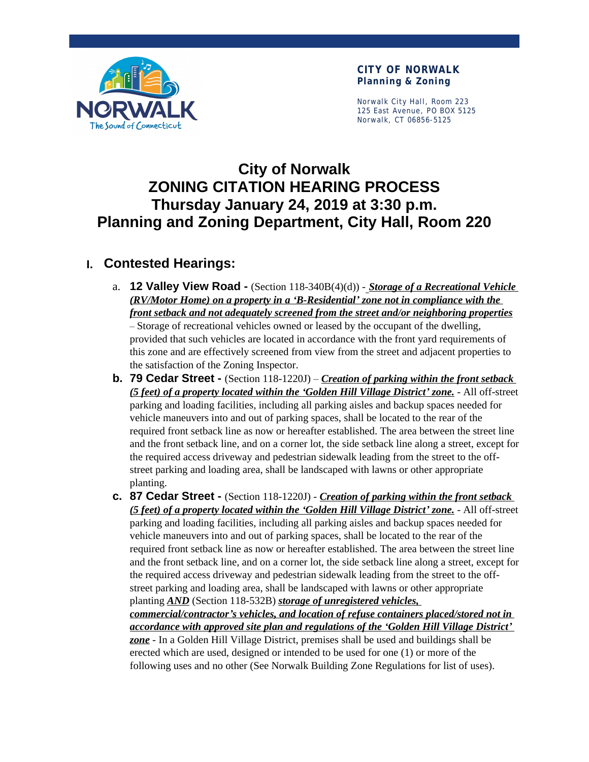

**CITY OF NORWALK Planning & Zoning**

Norwalk City Hall, Room 223 125 East Avenue, PO BOX 5125 Norwalk, CT 06856-5125

# **City of Norwalk ZONING CITATION HEARING PROCESS Thursday January 24, 2019 at 3:30 p.m. Planning and Zoning Department, City Hall, Room 220**

# **I. Contested Hearings:**

- a. **12 Valley View Road** (Section 118-340B(4)(d)) *Storage of a Recreational Vehicle (RV/Motor Home) on a property in a 'B-Residential' zone not in compliance with the front setback and not adequately screened from the street and/or neighboring properties –* Storage of recreational vehicles owned or leased by the occupant of the dwelling, provided that such vehicles are located in accordance with the front yard requirements of this zone and are effectively screened from view from the street and adjacent properties to the satisfaction of the Zoning Inspector.
- **b. 79 Cedar Street -** (Section 118-1220J) *Creation of parking within the front setback (5 feet) of a property located within the 'Golden Hill Village District' zone.* - All off-street parking and loading facilities, including all parking aisles and backup spaces needed for vehicle maneuvers into and out of parking spaces, shall be located to the rear of the required front setback line as now or hereafter established. The area between the street line and the front setback line, and on a corner lot, the side setback line along a street, except for the required access driveway and pedestrian sidewalk leading from the street to the offstreet parking and loading area, shall be landscaped with lawns or other appropriate planting.
- **c. 87 Cedar Street** (Section 118-1220J) *Creation of parking within the front setback (5 feet) of a property located within the 'Golden Hill Village District' zone.* - All off-street parking and loading facilities, including all parking aisles and backup spaces needed for vehicle maneuvers into and out of parking spaces, shall be located to the rear of the required front setback line as now or hereafter established. The area between the street line and the front setback line, and on a corner lot, the side setback line along a street, except for the required access driveway and pedestrian sidewalk leading from the street to the offstreet parking and loading area, shall be landscaped with lawns or other appropriate planting *AND* (Section 118-532B) *storage of unregistered vehicles, commercial/contractor's vehicles, and location of refuse containers placed/stored not in accordance with approved site plan and regulations of the 'Golden Hill Village District' zone* - In a Golden Hill Village District, premises shall be used and buildings shall be erected which are used, designed or intended to be used for one (1) or more of the following uses and no other (See Norwalk Building Zone Regulations for list of uses).